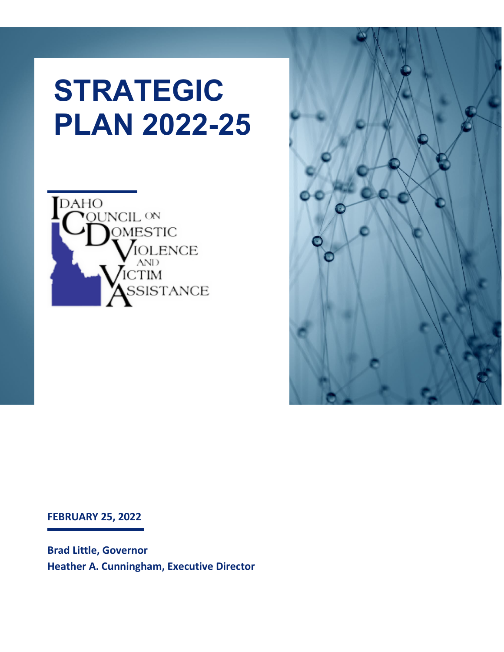# **STRATEGIC PLAN 2022-25**





**FEBRUARY 25, 2022**

**Brad Little, Governor Heather A. Cunningham, Executive Director**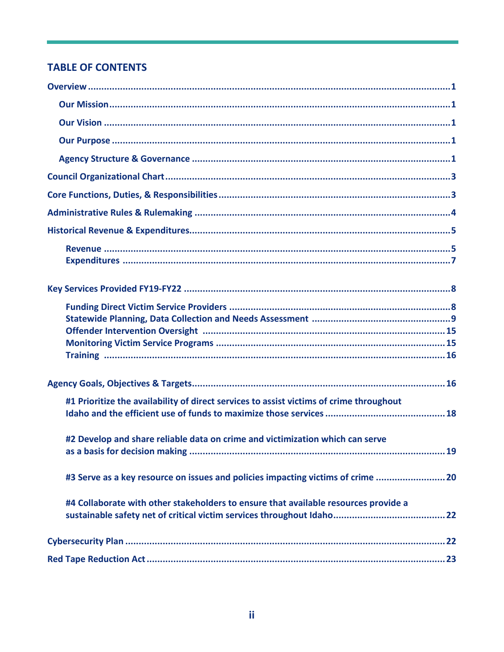#### **TABLE OF CONTENTS**

| #1 Prioritize the availability of direct services to assist victims of crime throughout |
|-----------------------------------------------------------------------------------------|
| #2 Develop and share reliable data on crime and victimization which can serve           |
| #3 Serve as a key resource on issues and policies impacting victims of crime 20         |
| #4 Collaborate with other stakeholders to ensure that available resources provide a     |
|                                                                                         |
|                                                                                         |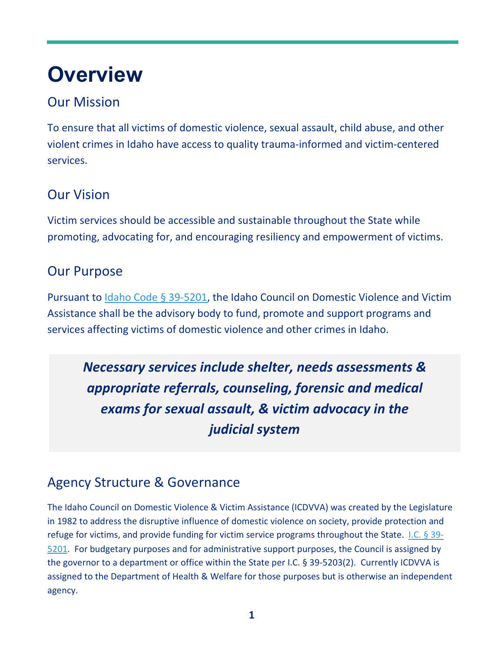## **Overview**

## Our Mission

To ensure that all victims of domestic violence, sexual assault, child abuse, and other violent crimes in Idaho have access to quality trauma-informed and victim-centered services.

## Our Vision

Victim services should be accessible and sustainable throughout the State while promoting, advocating for, and encouraging resiliency and empowerment of victims.

## Our Purpose

Pursuant to [Idaho Code § 39-5201,](https://legislature.idaho.gov/statutesrules/idstat/title39/t39ch52/sect39-5201/) the Idaho Council on Domestic Violence and Victim Assistance shall be the advisory body to fund, promote and support programs and services affecting victims of domestic violence and other crimes in Idaho.

*Necessary services include shelter, needs assessments & appropriate referrals, counseling, forensic and medical exams for sexual assault, & victim advocacy in the judicial system* 

## Agency Structure & Governance

The Idaho Council on Domestic Violence & Victim Assistance (ICDVVA) was created by the Legislature in 1982 to address the disruptive influence of domestic violence on society, provide protection and refuge for victims, and provide funding for victim service programs throughout the State. [I.C. § 39-](https://legislature.idaho.gov/statutesrules/idstat/Title39/T39CH52/SECT39-5201/) [5201.](https://legislature.idaho.gov/statutesrules/idstat/Title39/T39CH52/SECT39-5201/) For budgetary purposes and for administrative support purposes, the Council is assigned by the governor to a department or office within the State per I.C. § 39-5203(2). Currently ICDVVA is assigned to the Department of Health & Welfare for those purposes but is otherwise an independent agency.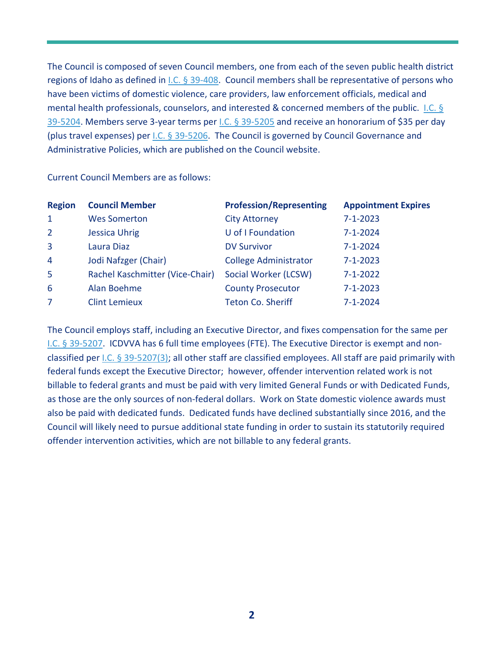The Council is composed of seven Council members, one from each of the seven public health district regions of Idaho as defined in [I.C. § 39-408.](https://legislature.idaho.gov/statutesrules/idstat/title39/t39ch4/sect39-408/) Council members shall be representative of persons who have been victims of domestic violence, care providers, law enforcement officials, medical and mental health professionals, counselors, and interested & concerned members of the public. I.C. § [39-5204.](https://legislature.idaho.gov/statutesrules/idstat/Title39/T39CH52/SECT39-5204/) Members serve 3-year terms per [I.C. § 39-5205](https://legislature.idaho.gov/statutesrules/idstat/Title39/T39CH52/SECT39-5205/) and receive an honorarium of \$35 per day (plus travel expenses) per [I.C. § 39-5206.](https://legislature.idaho.gov/statutesrules/idstat/Title39/T39CH52/SECT39-5206/) The Council is governed by Council Governance and Administrative Policies, which are published on the Council website.

Current Council Members are as follows:

| <b>Region</b> | <b>Council Member</b>           | <b>Profession/Representing</b> | <b>Appointment Expires</b> |
|---------------|---------------------------------|--------------------------------|----------------------------|
| $\mathbf{1}$  | <b>Wes Somerton</b>             | <b>City Attorney</b>           | $7 - 1 - 2023$             |
| $2^{\circ}$   | <b>Jessica Uhrig</b>            | U of I Foundation              | $7 - 1 - 2024$             |
| 3             | Laura Diaz                      | <b>DV Survivor</b>             | $7 - 1 - 2024$             |
| 4             | Jodi Nafzger (Chair)            | <b>College Administrator</b>   | $7 - 1 - 2023$             |
| 5             | Rachel Kaschmitter (Vice-Chair) | Social Worker (LCSW)           | $7 - 1 - 2022$             |
| 6             | Alan Boehme                     | <b>County Prosecutor</b>       | $7 - 1 - 2023$             |
| 7             | <b>Clint Lemieux</b>            | <b>Teton Co. Sheriff</b>       | $7 - 1 - 2024$             |

The Council employs staff, including an Executive Director, and fixes compensation for the same per [I.C. § 39-5207.](https://legislature.idaho.gov/statutesrules/idstat/Title39/T39CH52/SECT39-5207/) ICDVVA has 6 full time employees (FTE). The Executive Director is exempt and nonclassified per [I.C. § 39-5207\(3\);](https://legislature.idaho.gov/statutesrules/idstat/title39/t39ch52/sect39-5207/) all other staff are classified employees. All staff are paid primarily with federal funds except the Executive Director; however, offender intervention related work is not billable to federal grants and must be paid with very limited General Funds or with Dedicated Funds, as those are the only sources of non-federal dollars. Work on State domestic violence awards must also be paid with dedicated funds. Dedicated funds have declined substantially since 2016, and the Council will likely need to pursue additional state funding in order to sustain its statutorily required offender intervention activities, which are not billable to any federal grants.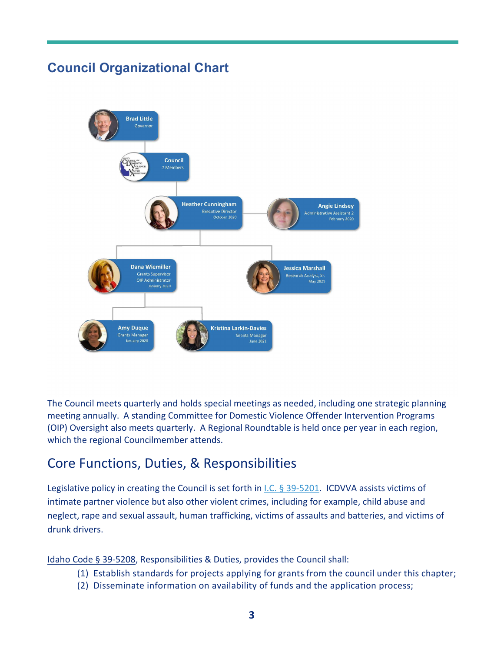## **Council Organizational Chart**



The Council meets quarterly and holds special meetings as needed, including one strategic planning meeting annually. A standing Committee for Domestic Violence Offender Intervention Programs (OIP) Oversight also meets quarterly. A Regional Roundtable is held once per year in each region, which the regional Councilmember attends.

## Core Functions, Duties, & Responsibilities

Legislative policy in creating the Council is set forth in *I.C.* § 39-5201. ICDVVA assists victims of intimate partner violence but also other violent crimes, including for example, child abuse and neglect, rape and sexual assault, human trafficking, victims of assaults and batteries, and victims of drunk drivers.

[Idaho Code § 39-5208,](https://legislature.idaho.gov/statutesrules/idstat/Title39/T39CH52/SECT39-5208/) Responsibilities & Duties, provides the Council shall:

- (1) Establish standards for projects applying for grants from the council under this chapter;
- (2) Disseminate information on availability of funds and the application process;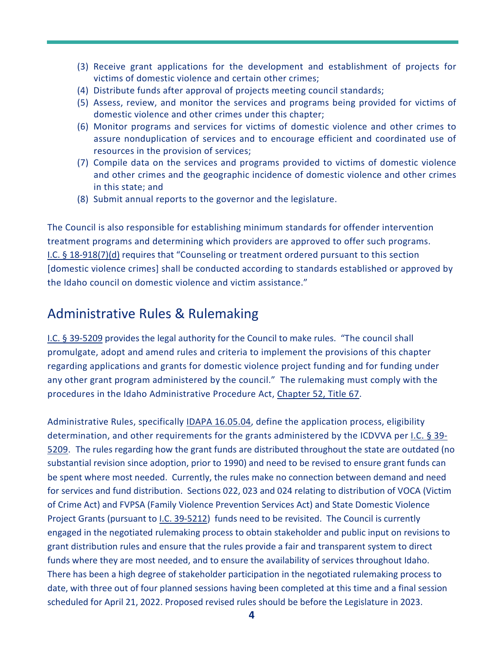- (3) Receive grant applications for the development and establishment of projects for victims of domestic violence and certain other crimes;
- (4) Distribute funds after approval of projects meeting council standards;
- (5) Assess, review, and monitor the services and programs being provided for victims of domestic violence and other crimes under this chapter;
- (6) Monitor programs and services for victims of domestic violence and other crimes to assure nonduplication of services and to encourage efficient and coordinated use of resources in the provision of services;
- (7) Compile data on the services and programs provided to victims of domestic violence and other crimes and the geographic incidence of domestic violence and other crimes in this state; and
- (8) Submit annual reports to the governor and the legislature.

The Council is also responsible for establishing minimum standards for offender intervention treatment programs and determining which providers are approved to offer such programs. [I.C. § 18-918\(7\)\(d\)](https://legislature.idaho.gov/statutesrules/idstat/title18/t18ch9/sect18-918/) requires that "Counseling or treatment ordered pursuant to this section [domestic violence crimes] shall be conducted according to standards established or approved by the Idaho council on domestic violence and victim assistance."

### Administrative Rules & Rulemaking

[I.C. § 39-5209](https://legislature.idaho.gov/statutesrules/idstat/Title39/T39CH52/SECT39-5209/) provides the legal authority for the Council to make rules. "The council shall promulgate, adopt and amend rules and criteria to implement the provisions of this chapter regarding applications and grants for domestic violence project funding and for funding under any other grant program administered by the council." The rulemaking must comply with the procedures in the Idaho Administrative Procedure Act, [Chapter 52, Title 67.](https://legislature.idaho.gov/statutesrules/idstat/Title67/T67CH52/)

Administrative Rules, specifically [IDAPA 16.05.04,](https://adminrules.idaho.gov/rules/current/16/160504.pdf) define the application process, eligibility determination, and other requirements for the grants administered by the ICDVVA per [I.C. § 39-](https://legislature.idaho.gov/statutesrules/idstat/Title39/T39CH52/SECT39-5209/) [5209.](https://legislature.idaho.gov/statutesrules/idstat/Title39/T39CH52/SECT39-5209/) The rules regarding how the grant funds are distributed throughout the state are outdated (no substantial revision since adoption, prior to 1990) and need to be revised to ensure grant funds can be spent where most needed. Currently, the rules make no connection between demand and need for services and fund distribution. Sections 022, 023 and 024 relating to distribution of VOCA (Victim of Crime Act) and FVPSA (Family Violence Prevention Services Act) and State Domestic Violence Project Grants (pursuant to [I.C. 39-5212\)](https://legislature.idaho.gov/statutesrules/idstat/title39/t39ch52/sect39-5212/) funds need to be revisited. The Council is currently engaged in the negotiated rulemaking process to obtain stakeholder and public input on revisions to grant distribution rules and ensure that the rules provide a fair and transparent system to direct funds where they are most needed, and to ensure the availability of services throughout Idaho. There has been a high degree of stakeholder participation in the negotiated rulemaking process to date, with three out of four planned sessions having been completed at this time and a final session scheduled for April 21, 2022. Proposed revised rules should be before the Legislature in 2023.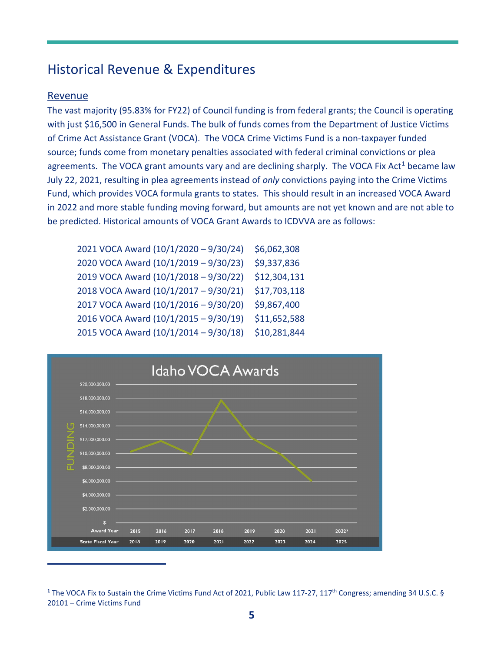## Historical Revenue & Expenditures

#### Revenue

The vast majority (95.83% for FY22) of Council funding is from federal grants; the Council is operating with just \$16,500 in General Funds. The bulk of funds comes from the Department of Justice Victims of Crime Act Assistance Grant (VOCA). The VOCA Crime Victims Fund is a non-taxpayer funded source; funds come from monetary penalties associated with federal criminal convictions or plea agreements. The VOCA grant amounts vary and are declining sharply. The VOCA Fix Act<sup>[1](#page-6-0)</sup> became law July 22, 2021, resulting in plea agreements instead of *only* convictions paying into the Crime Victims Fund, which provides VOCA formula grants to states. This should result in an increased VOCA Award in 2022 and more stable funding moving forward, but amounts are not yet known and are not able to be predicted. Historical amounts of VOCA Grant Awards to ICDVVA are as follows:

| 2021 VOCA Award (10/1/2020 - 9/30/24) | \$6,062,308  |
|---------------------------------------|--------------|
| 2020 VOCA Award (10/1/2019 - 9/30/23) | \$9,337,836  |
| 2019 VOCA Award (10/1/2018 - 9/30/22) | \$12,304,131 |
| 2018 VOCA Award (10/1/2017 - 9/30/21) | \$17,703,118 |
| 2017 VOCA Award (10/1/2016 - 9/30/20) | \$9,867,400  |
| 2016 VOCA Award (10/1/2015 - 9/30/19) | \$11,652,588 |
| 2015 VOCA Award (10/1/2014 - 9/30/18) | \$10,281,844 |



<span id="page-6-0"></span><sup>&</sup>lt;sup>1</sup> The VOCA Fix to Sustain the Crime Victims Fund Act of 2021, Public Law 117-27, 117<sup>th</sup> Congress; amending 34 U.S.C. § 20101 – Crime Victims Fund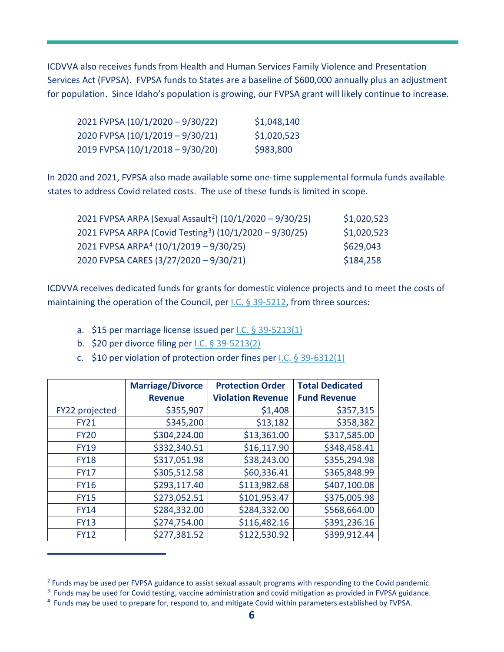ICDVVA also receives funds from Health and Human Services Family Violence and Presentation Services Act (FVPSA). FVPSA funds to States are a baseline of \$600,000 annually plus an adjustment for population. Since Idaho's population is growing, our FVPSA grant will likely continue to increase.

| 2021 FVPSA (10/1/2020 – 9/30/22) | \$1,048,140 |
|----------------------------------|-------------|
| 2020 FVPSA (10/1/2019 – 9/30/21) | \$1,020,523 |
| 2019 FVPSA (10/1/2018 – 9/30/20) | \$983,800   |

In 2020 and 2021, FVPSA also made available some one-time supplemental formula funds available states to address Covid related costs. The use of these funds is limited in scope.

| 2021 FVPSA ARPA (Sexual Assault <sup>2</sup> ) (10/1/2020 – 9/30/25) | \$1,020,523 |
|----------------------------------------------------------------------|-------------|
| 2021 FVPSA ARPA (Covid Testing <sup>3</sup> ) (10/1/2020 - 9/30/25)  | \$1,020,523 |
| 2021 FVPSA ARPA <sup>4</sup> (10/1/2019 - 9/30/25)                   | \$629,043   |
| 2020 FVPSA CARES (3/27/2020 - 9/30/21)                               | \$184,258   |

ICDVVA receives dedicated funds for grants for domestic violence projects and to meet the costs of maintaining the operation of the Council, per *I.C.* § 39-5212, from three sources:

- a. \$15 per marriage license issued per [I.C. § 39-5213\(1\)](https://legislature.idaho.gov/statutesrules/idstat/Title39/T39CH52/SECT39-5213/)
- b. \$20 per divorce filing per [I.C. § 39-5213\(2\)](https://legislature.idaho.gov/statutesrules/idstat/Title39/T39CH52/SECT39-5213/)
- c. \$10 per violation of protection order fines per [I.C. § 39-6312\(1\)](https://legislature.idaho.gov/statutesrules/idstat/Title39/T39CH63/SECT39-6312/)

|                | <b>Marriage/Divorce</b><br><b>Revenue</b> | <b>Protection Order</b><br><b>Violation Revenue</b> | <b>Total Dedicated</b><br><b>Fund Revenue</b> |
|----------------|-------------------------------------------|-----------------------------------------------------|-----------------------------------------------|
|                |                                           |                                                     |                                               |
| FY22 projected | \$355,907                                 | \$1,408                                             | \$357,315                                     |
| <b>FY21</b>    | \$345,200                                 | \$13,182                                            | \$358,382                                     |
| <b>FY20</b>    | \$304,224.00                              | \$13,361.00                                         | \$317,585.00                                  |
| <b>FY19</b>    | \$332,340.51                              | \$16,117.90                                         | \$348,458.41                                  |
| <b>FY18</b>    | \$317,051.98                              | \$38,243.00                                         | \$355,294.98                                  |
| <b>FY17</b>    | \$305,512.58                              | \$60,336.41                                         | \$365,848.99                                  |
| <b>FY16</b>    | \$293,117.40                              | \$113,982.68                                        | \$407,100.08                                  |
| <b>FY15</b>    | \$273,052.51                              | \$101,953.47                                        | \$375,005.98                                  |
| <b>FY14</b>    | \$284,332.00                              | \$284,332.00                                        | \$568,664.00                                  |
| <b>FY13</b>    | \$274,754.00                              | \$116,482.16                                        | \$391,236.16                                  |
| <b>FY12</b>    | \$277,381.52                              | \$122,530.92                                        | \$399,912.44                                  |

<span id="page-7-1"></span><span id="page-7-0"></span><sup>&</sup>lt;sup>2</sup> Funds may be used per FVPSA guidance to assist sexual assault programs with responding to the Covid pandemic.

<sup>&</sup>lt;sup>3</sup> Funds may be used for Covid testing, vaccine administration and covid mitigation as provided in FVPSA guidance.

<span id="page-7-2"></span>**<sup>4</sup>** Funds may be used to prepare for, respond to, and mitigate Covid within parameters established by FVPSA.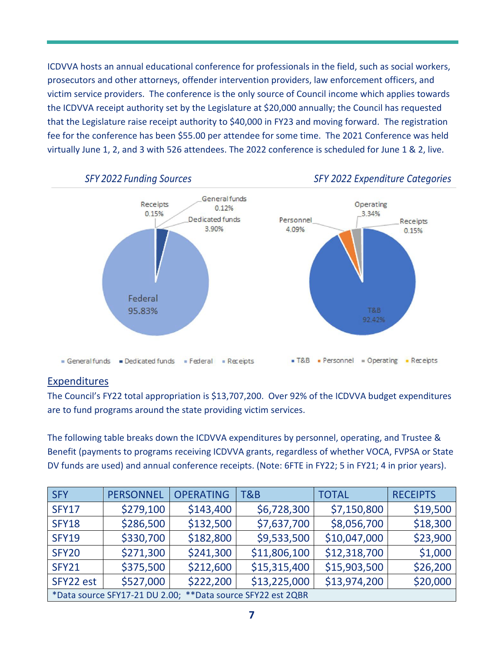ICDVVA hosts an annual educational conference for professionals in the field, such as social workers, prosecutors and other attorneys, offender intervention providers, law enforcement officers, and victim service providers. The conference is the only source of Council income which applies towards the ICDVVA receipt authority set by the Legislature at \$20,000 annually; the Council has requested that the Legislature raise receipt authority to \$40,000 in FY23 and moving forward. The registration fee for the conference has been \$55.00 per attendee for some time. The 2021 Conference was held virtually June 1, 2, and 3 with 526 attendees. The 2022 conference is scheduled for June 1 & 2, live.



#### Expenditures

The Council's FY22 total appropriation is \$13,707,200. Over 92% of the ICDVVA budget expenditures are to fund programs around the state providing victim services.

The following table breaks down the ICDVVA expenditures by personnel, operating, and Trustee & Benefit (payments to programs receiving ICDVVA grants, regardless of whether VOCA, FVPSA or State DV funds are used) and annual conference receipts. (Note: 6FTE in FY22; 5 in FY21; 4 in prior years).

| <b>SFY</b>                                                  | <b>PERSONNEL</b> | <b>OPERATING</b> | T&B          | <b>TOTAL</b> | <b>RECEIPTS</b> |
|-------------------------------------------------------------|------------------|------------------|--------------|--------------|-----------------|
| <b>SFY17</b>                                                | \$279,100        | \$143,400        | \$6,728,300  | \$7,150,800  | \$19,500        |
| <b>SFY18</b>                                                | \$286,500        | \$132,500        | \$7,637,700  | \$8,056,700  | \$18,300        |
| <b>SFY19</b>                                                | \$330,700        | \$182,800        | \$9,533,500  | \$10,047,000 | \$23,900        |
| <b>SFY20</b>                                                | \$271,300        | \$241,300        | \$11,806,100 | \$12,318,700 | \$1,000         |
| <b>SFY21</b>                                                | \$375,500        | \$212,600        | \$15,315,400 | \$15,903,500 | \$26,200        |
| SFY22 est                                                   | \$527,000        | \$222,200        | \$13,225,000 | \$13,974,200 | \$20,000        |
| *Data source SFY17-21 DU 2.00; **Data source SFY22 est 2QBR |                  |                  |              |              |                 |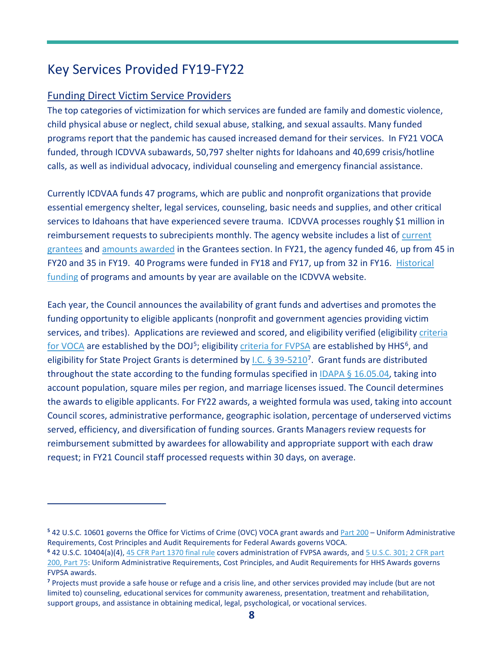## Key Services Provided FY19-FY22

#### Funding Direct Victim Service Providers

The top categories of victimization for which services are funded are family and domestic violence, child physical abuse or neglect, child sexual abuse, stalking, and sexual assaults. Many funded programs report that the pandemic has caused increased demand for their services. In FY21 VOCA funded, through ICDVVA subawards, 50,797 shelter nights for Idahoans and 40,699 crisis/hotline calls, as well as individual advocacy, individual counseling and emergency financial assistance.

Currently ICDVAA funds 47 programs, which are public and nonprofit organizations that provide essential emergency shelter, legal services, counseling, basic needs and supplies, and other critical services to Idahoans that have experienced severe trauma. ICDVVA processes roughly \$1 million in reimbursement requests to subrecipients monthly. The agency website includes a list of [current](https://icdv.idaho.gov/wp-content/uploads/sites/80/2021/12/FY2022-Funded-Programs-12-16-21.pdf)  [grantees](https://icdv.idaho.gov/wp-content/uploads/sites/80/2021/12/FY2022-Funded-Programs-12-16-21.pdf) and [amounts awarded](https://icdv.idaho.gov/wp-content/uploads/sites/80/2021/08/FY22-Funding-Allocations-Updated-082321.pdf) in the Grantees section. In FY21, the agency funded 46, up from 45 in FY20 and 35 in FY19. 40 Programs were funded in FY18 and FY17, up from 32 in FY16. [Historical](https://icdv.idaho.gov/grantees/grantee-information/)  [funding](https://icdv.idaho.gov/grantees/grantee-information/) of programs and amounts by year are available on the ICDVVA website.

Each year, the Council announces the availability of grant funds and advertises and promotes the funding opportunity to eligible applicants (nonprofit and government agencies providing victim services, and tribes). Applications are reviewed and scored, and eligibility verified (eligibility [criteria](https://www.govinfo.gov/content/pkg/FR-1997-04-22/pdf/97-10403.pdf)  [for VOCA](https://www.govinfo.gov/content/pkg/FR-1997-04-22/pdf/97-10403.pdf) are established by the DOJ<sup>[5](#page-9-0)</sup>; eligibility [criteria for FVPSA](https://www.federalregister.gov/documents/2016/11/02/2016-26063/family-violence-prevention-and-services-programs) are established by HHS<sup>[6](#page-9-1)</sup>, and eligibility for State Project Grants is determined by I.C.  $\S$  39-5210<sup>[7](#page-9-2)</sup>. Grant funds are distributed throughout the state according to the funding formulas specified in [IDAPA § 16.05.04,](https://icdv.idaho.gov/wp-content/uploads/sites/80/2020/05/FY21-Funding-Allocation.pdf) taking into account population, square miles per region, and marriage licenses issued. The Council determines the awards to eligible applicants. For FY22 awards, a weighted formula was used, taking into account Council scores, administrative performance, geographic isolation, percentage of underserved victims served, efficiency, and diversification of funding sources. Grants Managers review requests for reimbursement submitted by awardees for allowability and appropriate support with each draw request; in FY21 Council staff processed requests within 30 days, on average.

<span id="page-9-0"></span>**<sup>5</sup>** 42 U.S.C. 10601 governs the Office for Victims of Crime (OVC) VOCA grant awards an[d Part 200](https://ecfr.io/cgi-bin/text-idx?SID=d24d87a02e4747084986f109d4a3ac2a&mc=true&node=pt2.1.200&rgn=div5) – Uniform Administrative Requirements, Cost Principles and Audit Requirements for Federal Awards governs VOCA.

<span id="page-9-1"></span>**<sup>6</sup>** 42 U.S.C. 10404(a)(4), [45 CFR Part 1370 final rule](https://vawnet.org/sites/default/files/assets/files/2017-08/FVPSA%20Final%20Regulations%20PDF%2011.2.16.pdf) covers administration of FVPSA awards, an[d 5 U.S.C. 301; 2 CFR part](https://www.ecfr.gov/cgi-bin/text-idx?node=pt45.1.75)  [200, Part 75:](https://www.ecfr.gov/cgi-bin/text-idx?node=pt45.1.75) Uniform Administrative Requirements, Cost Principles, and Audit Requirements for HHS Awards governs FVPSA awards.

<span id="page-9-2"></span>**<sup>7</sup>** Projects must provide a safe house or refuge and a crisis line, and other services provided may include (but are not limited to) counseling, educational services for community awareness, presentation, treatment and rehabilitation, support groups, and assistance in obtaining medical, legal, psychological, or vocational services.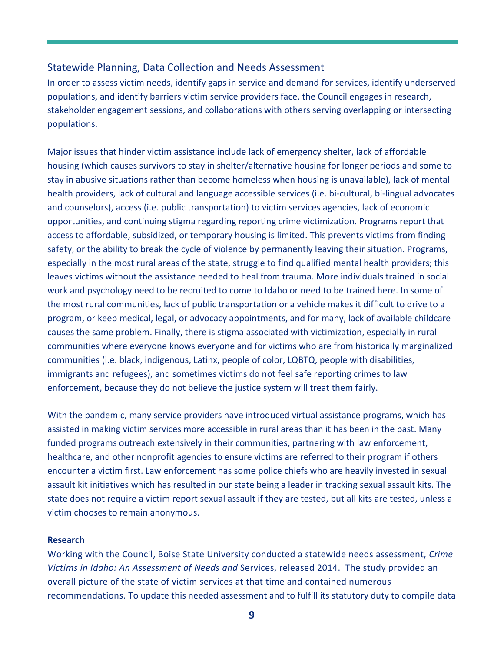#### Statewide Planning, Data Collection and Needs Assessment

In order to assess victim needs, identify gaps in service and demand for services, identify underserved populations, and identify barriers victim service providers face, the Council engages in research, stakeholder engagement sessions, and collaborations with others serving overlapping or intersecting populations.

Major issues that hinder victim assistance include lack of emergency shelter, lack of affordable housing (which causes survivors to stay in shelter/alternative housing for longer periods and some to stay in abusive situations rather than become homeless when housing is unavailable), lack of mental health providers, lack of cultural and language accessible services (i.e. bi-cultural, bi-lingual advocates and counselors), access (i.e. public transportation) to victim services agencies, lack of economic opportunities, and continuing stigma regarding reporting crime victimization. Programs report that access to affordable, subsidized, or temporary housing is limited. This prevents victims from finding safety, or the ability to break the cycle of violence by permanently leaving their situation. Programs, especially in the most rural areas of the state, struggle to find qualified mental health providers; this leaves victims without the assistance needed to heal from trauma. More individuals trained in social work and psychology need to be recruited to come to Idaho or need to be trained here. In some of the most rural communities, lack of public transportation or a vehicle makes it difficult to drive to a program, or keep medical, legal, or advocacy appointments, and for many, lack of available childcare causes the same problem. Finally, there is stigma associated with victimization, especially in rural communities where everyone knows everyone and for victims who are from historically marginalized communities (i.e. black, indigenous, Latinx, people of color, LQBTQ, people with disabilities, immigrants and refugees), and sometimes victims do not feel safe reporting crimes to law enforcement, because they do not believe the justice system will treat them fairly.

With the pandemic, many service providers have introduced virtual assistance programs, which has assisted in making victim services more accessible in rural areas than it has been in the past. Many funded programs outreach extensively in their communities, partnering with law enforcement, healthcare, and other nonprofit agencies to ensure victims are referred to their program if others encounter a victim first. Law enforcement has some police chiefs who are heavily invested in sexual assault kit initiatives which has resulted in our state being a leader in tracking sexual assault kits. The state does not require a victim report sexual assault if they are tested, but all kits are tested, unless a victim chooses to remain anonymous.

#### **Research**

Working with the Council, Boise State University conducted a statewide needs assessment, *Crime Victims in Idaho: An Assessment of Needs and* Services, released 2014. The study provided an overall picture of the state of victim services at that time and contained numerous recommendations. To update this needed assessment and to fulfill its statutory duty to compile data

**9**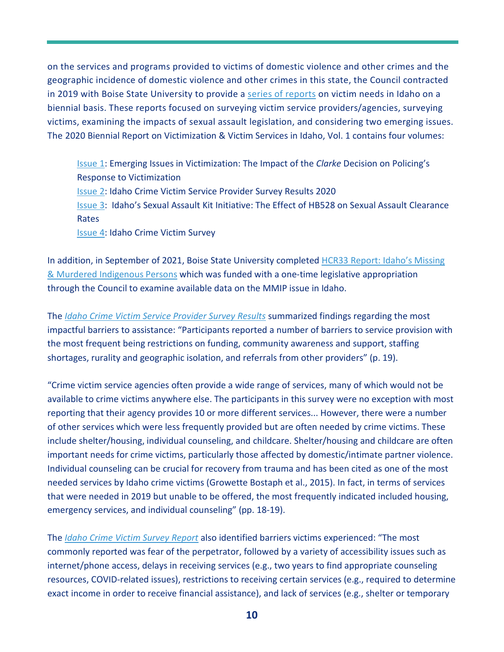on the services and programs provided to victims of domestic violence and other crimes and the geographic incidence of domestic violence and other crimes in this state, the Council contracted in 2019 with Boise State University to provide a [series of reports](https://www.boisestate.edu/sps-criminaljustice/biennial-report/) on victim needs in Idaho on a biennial basis. These reports focused on surveying victim service providers/agencies, surveying victims, examining the impacts of sexual assault legislation, and considering two emerging issues. The 2020 Biennial Report on Victimization & Victim Services in Idaho, Vol. 1 contains four volumes:

[Issue 1:](https://www.boisestate.edu/sps-criminaljustice/files/2020/08/Biennial-Report-Clarke-Study.pdf) Emerging Issues in Victimization: The Impact of the *Clarke* Decision on Policing's Response to Victimization [Issue 2:](https://icdv.idaho.gov/wp-content/uploads/sites/80/2021/09/V1-Iss-2-Agency-Survey-Final-Report-2020.pdf) Idaho Crime Victim Service Provider Survey Results 2020 [Issue 3:](https://www.boisestate.edu/sps-criminaljustice/files/2021/01/The-Effects-of-HB528-on-Sexual-Assault-Clearance-Rates-Public-Release.pdf) Idaho's Sexual Assault Kit Initiative: The Effect of HB528 on Sexual Assault Clearance Rates [Issue 4:](https://www.boisestate.edu/sps-criminaljustice/files/2021/01/Victim-Survey-Final-Report-2020.pdf) Idaho Crime Victim Survey

In addition, in September of 2021, Boise State University completed [HCR33 Report: Idaho's Missing](https://icdv.idaho.gov/wp-content/uploads/sites/80/2021/10/HCR33-Report_Idahos-Missing-and-Murdered-Indigenous-Persons.pdf)  [& Murdered Indigenous Persons](https://icdv.idaho.gov/wp-content/uploads/sites/80/2021/10/HCR33-Report_Idahos-Missing-and-Murdered-Indigenous-Persons.pdf) which was funded with a one-time legislative appropriation through the Council to examine available data on the MMIP issue in Idaho.

The *[Idaho Crime Victim Service Provider Survey Results](https://icdv.idaho.gov/wp-content/uploads/sites/80/2021/09/V1-Iss-2-Agency-Survey-Final-Report-2020.pdf)* summarized findings regarding the most impactful barriers to assistance: "Participants reported a number of barriers to service provision with the most frequent being restrictions on funding, community awareness and support, staffing shortages, rurality and geographic isolation, and referrals from other providers" (p. 19).

"Crime victim service agencies often provide a wide range of services, many of which would not be available to crime victims anywhere else. The participants in this survey were no exception with most reporting that their agency provides 10 or more different services... However, there were a number of other services which were less frequently provided but are often needed by crime victims. These include shelter/housing, individual counseling, and childcare. Shelter/housing and childcare are often important needs for crime victims, particularly those affected by domestic/intimate partner violence. Individual counseling can be crucial for recovery from trauma and has been cited as one of the most needed services by Idaho crime victims (Growette Bostaph et al., 2015). In fact, in terms of services that were needed in 2019 but unable to be offered, the most frequently indicated included housing, emergency services, and individual counseling" (pp. 18-19).

The *[Idaho Crime Victim Survey Report](https://icdv.idaho.gov/wp-content/uploads/sites/80/2021/09/V1-Iss-4-Victim-Survey-Final-Report-2020.pdf)* also identified barriers victims experienced: "The most commonly reported was fear of the perpetrator, followed by a variety of accessibility issues such as internet/phone access, delays in receiving services (e.g., two years to find appropriate counseling resources, COVID-related issues), restrictions to receiving certain services (e.g., required to determine exact income in order to receive financial assistance), and lack of services (e.g., shelter or temporary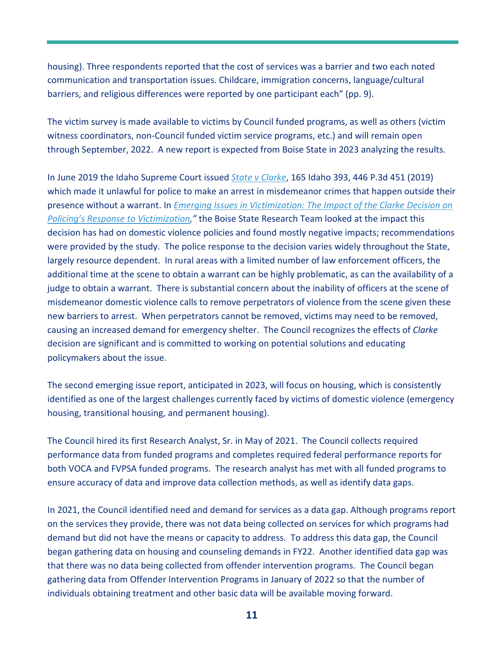housing). Three respondents reported that the cost of services was a barrier and two each noted communication and transportation issues. Childcare, immigration concerns, language/cultural barriers, and religious differences were reported by one participant each" (pp. 9).

The victim survey is made available to victims by Council funded programs, as well as others (victim witness coordinators, non-Council funded victim service programs, etc.) and will remain open through September, 2022. A new report is expected from Boise State in 2023 analyzing the results.

In June 2019 the Idaho Supreme Court issued *[State v Clarke](https://isc.idaho.gov/files/45062.pdf)*, 165 Idaho 393, 446 P.3d 451 (2019) which made it unlawful for police to make an arrest in misdemeanor crimes that happen outside their presence without a warrant. In *[Emerging Issues in Victimization: The Impact of the Clarke Decision on](https://icdv.idaho.gov/wp-content/uploads/sites/80/2021/09/V1-Iss-1-Clarke-Study.pdf)  [Policing's Response to Victimization,](https://icdv.idaho.gov/wp-content/uploads/sites/80/2021/09/V1-Iss-1-Clarke-Study.pdf)"* the Boise State Research Team looked at the impact this decision has had on domestic violence policies and found mostly negative impacts; recommendations were provided by the study. The police response to the decision varies widely throughout the State, largely resource dependent. In rural areas with a limited number of law enforcement officers, the additional time at the scene to obtain a warrant can be highly problematic, as can the availability of a judge to obtain a warrant. There is substantial concern about the inability of officers at the scene of misdemeanor domestic violence calls to remove perpetrators of violence from the scene given these new barriers to arrest. When perpetrators cannot be removed, victims may need to be removed, causing an increased demand for emergency shelter. The Council recognizes the effects of *Clarke* decision are significant and is committed to working on potential solutions and educating policymakers about the issue.

The second emerging issue report, anticipated in 2023, will focus on housing, which is consistently identified as one of the largest challenges currently faced by victims of domestic violence (emergency housing, transitional housing, and permanent housing).

The Council hired its first Research Analyst, Sr. in May of 2021. The Council collects required performance data from funded programs and completes required federal performance reports for both VOCA and FVPSA funded programs. The research analyst has met with all funded programs to ensure accuracy of data and improve data collection methods, as well as identify data gaps.

In 2021, the Council identified need and demand for services as a data gap. Although programs report on the services they provide, there was not data being collected on services for which programs had demand but did not have the means or capacity to address. To address this data gap, the Council began gathering data on housing and counseling demands in FY22. Another identified data gap was that there was no data being collected from offender intervention programs. The Council began gathering data from Offender Intervention Programs in January of 2022 so that the number of individuals obtaining treatment and other basic data will be available moving forward.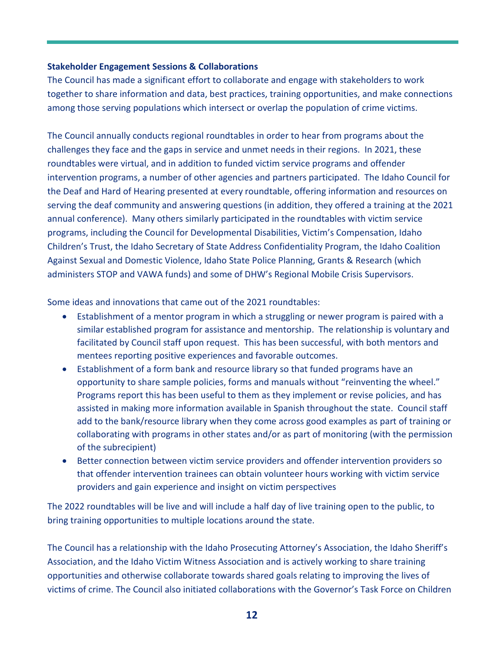#### **Stakeholder Engagement Sessions & Collaborations**

The Council has made a significant effort to collaborate and engage with stakeholders to work together to share information and data, best practices, training opportunities, and make connections among those serving populations which intersect or overlap the population of crime victims.

The Council annually conducts regional roundtables in order to hear from programs about the challenges they face and the gaps in service and unmet needs in their regions. In 2021, these roundtables were virtual, and in addition to funded victim service programs and offender intervention programs, a number of other agencies and partners participated. The Idaho Council for the Deaf and Hard of Hearing presented at every roundtable, offering information and resources on serving the deaf community and answering questions (in addition, they offered a training at the 2021 annual conference). Many others similarly participated in the roundtables with victim service programs, including the Council for Developmental Disabilities, Victim's Compensation, Idaho Children's Trust, the Idaho Secretary of State Address Confidentiality Program, the Idaho Coalition Against Sexual and Domestic Violence, Idaho State Police Planning, Grants & Research (which administers STOP and VAWA funds) and some of DHW's Regional Mobile Crisis Supervisors.

Some ideas and innovations that came out of the 2021 roundtables:

- Establishment of a mentor program in which a struggling or newer program is paired with a similar established program for assistance and mentorship. The relationship is voluntary and facilitated by Council staff upon request. This has been successful, with both mentors and mentees reporting positive experiences and favorable outcomes.
- Establishment of a form bank and resource library so that funded programs have an opportunity to share sample policies, forms and manuals without "reinventing the wheel." Programs report this has been useful to them as they implement or revise policies, and has assisted in making more information available in Spanish throughout the state. Council staff add to the bank/resource library when they come across good examples as part of training or collaborating with programs in other states and/or as part of monitoring (with the permission of the subrecipient)
- Better connection between victim service providers and offender intervention providers so that offender intervention trainees can obtain volunteer hours working with victim service providers and gain experience and insight on victim perspectives

The 2022 roundtables will be live and will include a half day of live training open to the public, to bring training opportunities to multiple locations around the state.

The Council has a relationship with the Idaho Prosecuting Attorney's Association, the Idaho Sheriff's Association, and the Idaho Victim Witness Association and is actively working to share training opportunities and otherwise collaborate towards shared goals relating to improving the lives of victims of crime. The Council also initiated collaborations with the Governor's Task Force on Children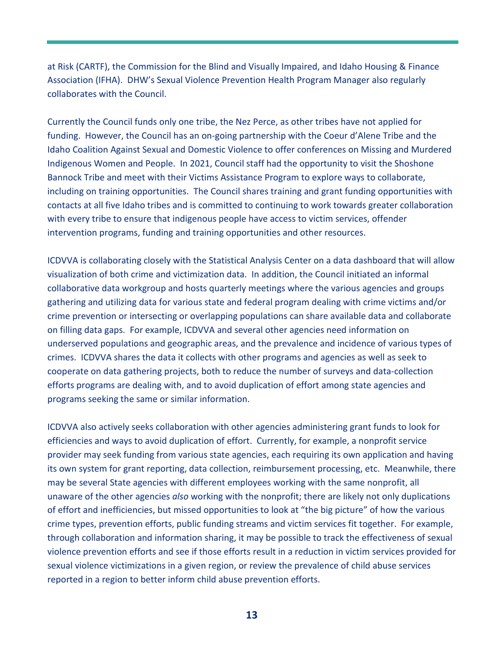at Risk (CARTF), the Commission for the Blind and Visually Impaired, and Idaho Housing & Finance Association (IFHA). DHW's Sexual Violence Prevention Health Program Manager also regularly collaborates with the Council.

Currently the Council funds only one tribe, the Nez Perce, as other tribes have not applied for funding. However, the Council has an on-going partnership with the Coeur d'Alene Tribe and the Idaho Coalition Against Sexual and Domestic Violence to offer conferences on Missing and Murdered Indigenous Women and People. In 2021, Council staff had the opportunity to visit the Shoshone Bannock Tribe and meet with their Victims Assistance Program to explore ways to collaborate, including on training opportunities. The Council shares training and grant funding opportunities with contacts at all five Idaho tribes and is committed to continuing to work towards greater collaboration with every tribe to ensure that indigenous people have access to victim services, offender intervention programs, funding and training opportunities and other resources.

ICDVVA is collaborating closely with the Statistical Analysis Center on a data dashboard that will allow visualization of both crime and victimization data. In addition, the Council initiated an informal collaborative data workgroup and hosts quarterly meetings where the various agencies and groups gathering and utilizing data for various state and federal program dealing with crime victims and/or crime prevention or intersecting or overlapping populations can share available data and collaborate on filling data gaps. For example, ICDVVA and several other agencies need information on underserved populations and geographic areas, and the prevalence and incidence of various types of crimes. ICDVVA shares the data it collects with other programs and agencies as well as seek to cooperate on data gathering projects, both to reduce the number of surveys and data-collection efforts programs are dealing with, and to avoid duplication of effort among state agencies and programs seeking the same or similar information.

ICDVVA also actively seeks collaboration with other agencies administering grant funds to look for efficiencies and ways to avoid duplication of effort. Currently, for example, a nonprofit service provider may seek funding from various state agencies, each requiring its own application and having its own system for grant reporting, data collection, reimbursement processing, etc. Meanwhile, there may be several State agencies with different employees working with the same nonprofit, all unaware of the other agencies *also* working with the nonprofit; there are likely not only duplications of effort and inefficiencies, but missed opportunities to look at "the big picture" of how the various crime types, prevention efforts, public funding streams and victim services fit together. For example, through collaboration and information sharing, it may be possible to track the effectiveness of sexual violence prevention efforts and see if those efforts result in a reduction in victim services provided for sexual violence victimizations in a given region, or review the prevalence of child abuse services reported in a region to better inform child abuse prevention efforts.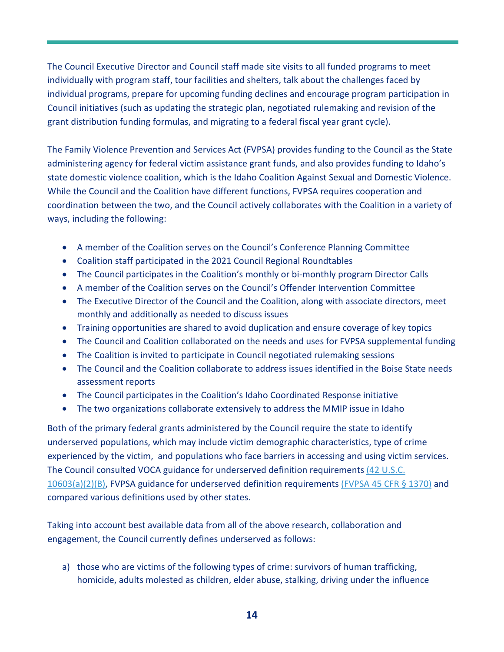The Council Executive Director and Council staff made site visits to all funded programs to meet individually with program staff, tour facilities and shelters, talk about the challenges faced by individual programs, prepare for upcoming funding declines and encourage program participation in Council initiatives (such as updating the strategic plan, negotiated rulemaking and revision of the grant distribution funding formulas, and migrating to a federal fiscal year grant cycle).

The Family Violence Prevention and Services Act (FVPSA) provides funding to the Council as the State administering agency for federal victim assistance grant funds, and also provides funding to Idaho's state domestic violence coalition, which is the Idaho Coalition Against Sexual and Domestic Violence. While the Council and the Coalition have different functions, FVPSA requires cooperation and coordination between the two, and the Council actively collaborates with the Coalition in a variety of ways, including the following:

- A member of the Coalition serves on the Council's Conference Planning Committee
- Coalition staff participated in the 2021 Council Regional Roundtables
- The Council participates in the Coalition's monthly or bi-monthly program Director Calls
- A member of the Coalition serves on the Council's Offender Intervention Committee
- The Executive Director of the Council and the Coalition, along with associate directors, meet monthly and additionally as needed to discuss issues
- Training opportunities are shared to avoid duplication and ensure coverage of key topics
- The Council and Coalition collaborated on the needs and uses for FVPSA supplemental funding
- The Coalition is invited to participate in Council negotiated rulemaking sessions
- The Council and the Coalition collaborate to address issues identified in the Boise State needs assessment reports
- The Council participates in the Coalition's Idaho Coordinated Response initiative
- The two organizations collaborate extensively to address the MMIP issue in Idaho

Both of the primary federal grants administered by the Council require the state to identify underserved populations, which may include victim demographic characteristics, type of crime experienced by the victim, and populations who face barriers in accessing and using victim services. The Council consulted VOCA guidance for underserved definition requirements [\(42 U.S.C.](https://www.govinfo.gov/content/pkg/FR-2016-07-08/pdf/2016-16085.pdf)  [10603\(a\)\(2\)\(B\),](https://www.govinfo.gov/content/pkg/FR-2016-07-08/pdf/2016-16085.pdf) FVPSA guidance for underserved definition requirements [\(FVPSA 45 CFR § 1370\)](https://www.govinfo.gov/content/pkg/FR-2016-11-02/pdf/2016-26063.pdf) and compared various definitions used by other states.

Taking into account best available data from all of the above research, collaboration and engagement, the Council currently defines underserved as follows:

a) those who are victims of the following types of crime: survivors of human trafficking, homicide, adults molested as children, elder abuse, stalking, driving under the influence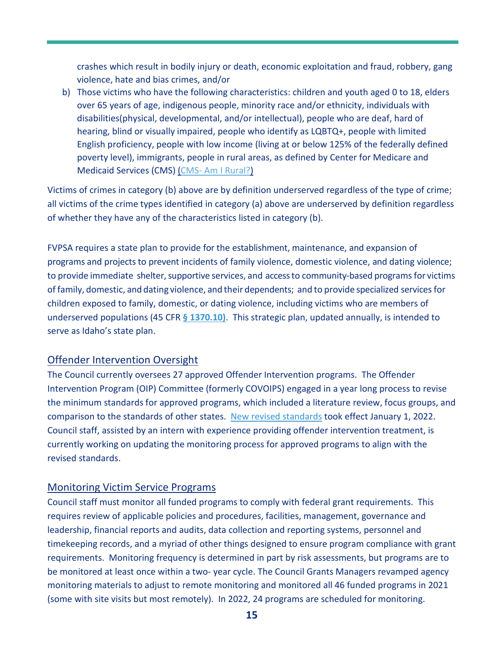crashes which result in bodily injury or death, economic exploitation and fraud, robbery, gang violence, hate and bias crimes, and/or

b) Those victims who have the following characteristics: children and youth aged 0 to 18, elders over 65 years of age, indigenous people, minority race and/or ethnicity, individuals with disabilities(physical, developmental, and/or intellectual), people who are deaf, hard of hearing, blind or visually impaired, people who identify as LQBTQ+, people with limited English proficiency, people with low income (living at or below 125% of the federally defined poverty level), immigrants, people in rural areas, as defined by Center for Medicare and Medicaid Services (CMS) [\(CMS- Am I Rural?\)](https://www.ruralhealthinfo.org/am-i-rural) 

Victims of crimes in category (b) above are by definition underserved regardless of the type of crime; all victims of the crime types identified in category (a) above are underserved by definition regardless of whether they have any of the characteristics listed in category (b).

FVPSA requires a state plan to provide for the establishment, maintenance, and expansion of programs and projects to prevent incidents of family violence, domestic violence, and dating violence; to provide immediate shelter, supportive services, and access to community-based programs for victims of family, domestic, and dating violence, and their dependents; and to provide specialized services for children exposed to family, domestic, or dating violence, including victims who are members of underserved populations (45 CFR **[§ 1370.10\)](https://www.govinfo.gov/content/pkg/FR-2016-11-02/pdf/2016-26063.pdf)**. This strategic plan, updated annually, is intended to serve as Idaho's state plan.

#### Offender Intervention Oversight

The Council currently oversees 27 approved Offender Intervention programs. The Offender Intervention Program (OIP) Committee (formerly COVOIPS) engaged in a year long process to revise the minimum standards for approved programs, which included a literature review, focus groups, and comparison to the standards of other states. [New revised standards](https://icdv.idaho.gov/wp-content/uploads/sites/80/2022/01/Offender-Intervention-Program-Minimum-Standards-Jan-22.pdf) took effect January 1, 2022. Council staff, assisted by an intern with experience providing offender intervention treatment, is currently working on updating the monitoring process for approved programs to align with the revised standards.

#### Monitoring Victim Service Programs

Council staff must monitor all funded programs to comply with federal grant requirements. This requires review of applicable policies and procedures, facilities, management, governance and leadership, financial reports and audits, data collection and reporting systems, personnel and timekeeping records, and a myriad of other things designed to ensure program compliance with grant requirements. Monitoring frequency is determined in part by risk assessments, but programs are to be monitored at least once within a two- year cycle. The Council Grants Managers revamped agency monitoring materials to adjust to remote monitoring and monitored all 46 funded programs in 2021 (some with site visits but most remotely). In 2022, 24 programs are scheduled for monitoring.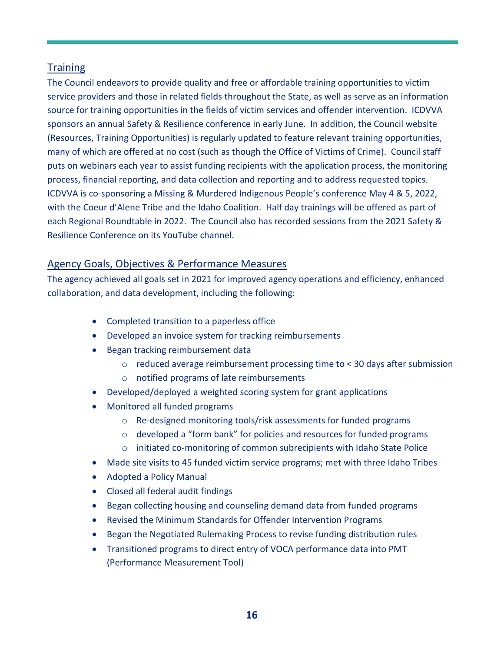#### **Training**

The Council endeavors to provide quality and free or affordable training opportunities to victim service providers and those in related fields throughout the State, as well as serve as an information source for training opportunities in the fields of victim services and offender intervention. ICDVVA sponsors an annual Safety & Resilience conference in early June. In addition, the Council website (Resources, Training Opportunities) is regularly updated to feature relevant training opportunities, many of which are offered at no cost (such as though the Office of Victims of Crime). Council staff puts on webinars each year to assist funding recipients with the application process, the monitoring process, financial reporting, and data collection and reporting and to address requested topics. ICDVVA is co-sponsoring a Missing & Murdered Indigenous People's conference May 4 & 5, 2022, with the Coeur d'Alene Tribe and the Idaho Coalition. Half day trainings will be offered as part of each Regional Roundtable in 2022. The Council also has recorded sessions from the 2021 Safety & Resilience Conference on its YouTube channel.

#### Agency Goals, Objectives & Performance Measures

The agency achieved all goals set in 2021 for improved agency operations and efficiency, enhanced collaboration, and data development, including the following:

- Completed transition to a paperless office
- Developed an invoice system for tracking reimbursements
- Began tracking reimbursement data
	- $\circ$  reduced average reimbursement processing time to < 30 days after submission
	- o notified programs of late reimbursements
- Developed/deployed a weighted scoring system for grant applications
- Monitored all funded programs
	- o Re-designed monitoring tools/risk assessments for funded programs
	- o developed a "form bank" for policies and resources for funded programs
	- o initiated co-monitoring of common subrecipients with Idaho State Police
- Made site visits to 45 funded victim service programs; met with three Idaho Tribes
- Adopted a Policy Manual
- Closed all federal audit findings
- Began collecting housing and counseling demand data from funded programs
- Revised the Minimum Standards for Offender Intervention Programs
- Began the Negotiated Rulemaking Process to revise funding distribution rules
- Transitioned programs to direct entry of VOCA performance data into PMT (Performance Measurement Tool)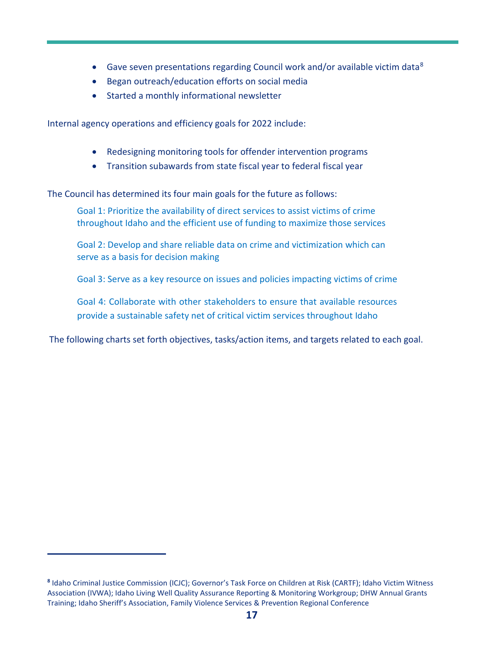- Gave seven presentations regarding Council work and/or available victim data<sup>[8](#page-18-0)</sup>
- Began outreach/education efforts on social media
- Started a monthly informational newsletter

Internal agency operations and efficiency goals for 2022 include:

- Redesigning monitoring tools for offender intervention programs
- Transition subawards from state fiscal year to federal fiscal year

The Council has determined its four main goals for the future as follows:

Goal 1: Prioritize the availability of direct services to assist victims of crime throughout Idaho and the efficient use of funding to maximize those services

Goal 2: Develop and share reliable data on crime and victimization which can serve as a basis for decision making

Goal 3: Serve as a key resource on issues and policies impacting victims of crime

Goal 4: Collaborate with other stakeholders to ensure that available resources provide a sustainable safety net of critical victim services throughout Idaho

The following charts set forth objectives, tasks/action items, and targets related to each goal.

<span id="page-18-0"></span>**<sup>8</sup>** Idaho Criminal Justice Commission (ICJC); Governor's Task Force on Children at Risk (CARTF); Idaho Victim Witness Association (IVWA); Idaho Living Well Quality Assurance Reporting & Monitoring Workgroup; DHW Annual Grants Training; Idaho Sheriff's Association, Family Violence Services & Prevention Regional Conference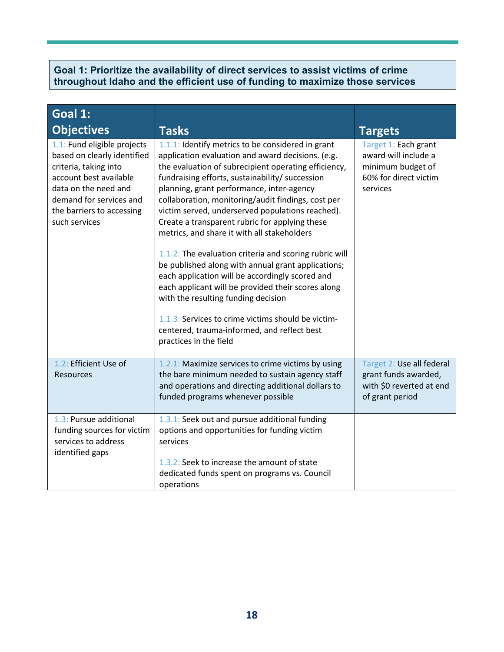#### **Goal 1: Prioritize the availability of direct services to assist victims of crime throughout Idaho and the efficient use of funding to maximize those services**

| Goal 1:                                                                                                                                                                                                        |                                                                                                                                                                                                                                                                                                                                                                                                                                                                                                                                                                                                                                                                                                                                                                                                                                                                          |                                                                                                        |
|----------------------------------------------------------------------------------------------------------------------------------------------------------------------------------------------------------------|--------------------------------------------------------------------------------------------------------------------------------------------------------------------------------------------------------------------------------------------------------------------------------------------------------------------------------------------------------------------------------------------------------------------------------------------------------------------------------------------------------------------------------------------------------------------------------------------------------------------------------------------------------------------------------------------------------------------------------------------------------------------------------------------------------------------------------------------------------------------------|--------------------------------------------------------------------------------------------------------|
| <b>Objectives</b>                                                                                                                                                                                              | <b>Tasks</b>                                                                                                                                                                                                                                                                                                                                                                                                                                                                                                                                                                                                                                                                                                                                                                                                                                                             | <b>Targets</b>                                                                                         |
| 1.1: Fund eligible projects<br>based on clearly identified<br>criteria, taking into<br>account best available<br>data on the need and<br>demand for services and<br>the barriers to accessing<br>such services | 1.1.1: Identify metrics to be considered in grant<br>application evaluation and award decisions. (e.g.<br>the evaluation of subrecipient operating efficiency,<br>fundraising efforts, sustainability/ succession<br>planning, grant performance, inter-agency<br>collaboration, monitoring/audit findings, cost per<br>victim served, underserved populations reached).<br>Create a transparent rubric for applying these<br>metrics, and share it with all stakeholders<br>1.1.2: The evaluation criteria and scoring rubric will<br>be published along with annual grant applications;<br>each application will be accordingly scored and<br>each applicant will be provided their scores along<br>with the resulting funding decision<br>1.1.3: Services to crime victims should be victim-<br>centered, trauma-informed, and reflect best<br>practices in the field | Target 1: Each grant<br>award will include a<br>minimum budget of<br>60% for direct victim<br>services |
| 1.2: Efficient Use of<br>Resources                                                                                                                                                                             | 1.2.1: Maximize services to crime victims by using<br>the bare minimum needed to sustain agency staff<br>and operations and directing additional dollars to<br>funded programs whenever possible                                                                                                                                                                                                                                                                                                                                                                                                                                                                                                                                                                                                                                                                         | Target 2: Use all federal<br>grant funds awarded,<br>with \$0 reverted at end<br>of grant period       |
| 1.3: Pursue additional<br>funding sources for victim<br>services to address<br>identified gaps                                                                                                                 | 1.3.1: Seek out and pursue additional funding<br>options and opportunities for funding victim<br>services<br>1.3.2: Seek to increase the amount of state<br>dedicated funds spent on programs vs. Council<br>operations                                                                                                                                                                                                                                                                                                                                                                                                                                                                                                                                                                                                                                                  |                                                                                                        |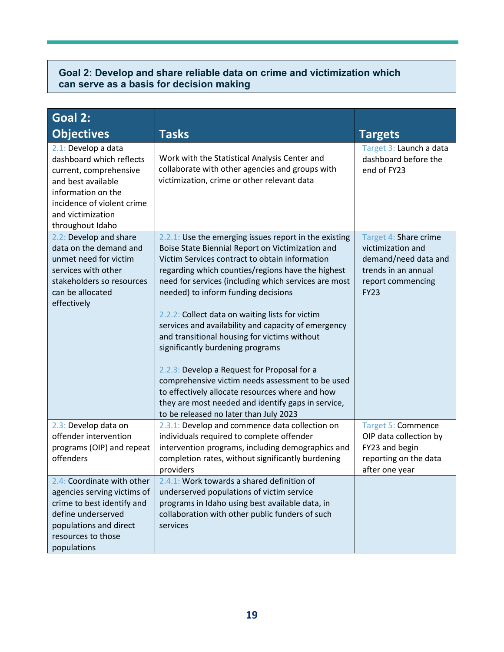#### **Goal 2: Develop and share reliable data on crime and victimization which can serve as a basis for decision making**

| Goal 2:                                                                                                                                                                                      |                                                                                                                                                                                                                                                                                                                                                                                                                                                                                                                                                                                                                                                                                                                                                                     |                                                                                                                               |
|----------------------------------------------------------------------------------------------------------------------------------------------------------------------------------------------|---------------------------------------------------------------------------------------------------------------------------------------------------------------------------------------------------------------------------------------------------------------------------------------------------------------------------------------------------------------------------------------------------------------------------------------------------------------------------------------------------------------------------------------------------------------------------------------------------------------------------------------------------------------------------------------------------------------------------------------------------------------------|-------------------------------------------------------------------------------------------------------------------------------|
| <b>Objectives</b>                                                                                                                                                                            | <b>Tasks</b>                                                                                                                                                                                                                                                                                                                                                                                                                                                                                                                                                                                                                                                                                                                                                        | <b>Targets</b>                                                                                                                |
| 2.1: Develop a data<br>dashboard which reflects<br>current, comprehensive<br>and best available<br>information on the<br>incidence of violent crime<br>and victimization<br>throughout Idaho | Work with the Statistical Analysis Center and<br>collaborate with other agencies and groups with<br>victimization, crime or other relevant data                                                                                                                                                                                                                                                                                                                                                                                                                                                                                                                                                                                                                     | Target 3: Launch a data<br>dashboard before the<br>end of FY23                                                                |
| 2.2: Develop and share<br>data on the demand and<br>unmet need for victim<br>services with other<br>stakeholders so resources<br>can be allocated<br>effectively                             | 2.2.1: Use the emerging issues report in the existing<br>Boise State Biennial Report on Victimization and<br>Victim Services contract to obtain information<br>regarding which counties/regions have the highest<br>need for services (including which services are most<br>needed) to inform funding decisions<br>2.2.2: Collect data on waiting lists for victim<br>services and availability and capacity of emergency<br>and transitional housing for victims without<br>significantly burdening programs<br>2.2.3: Develop a Request for Proposal for a<br>comprehensive victim needs assessment to be used<br>to effectively allocate resources where and how<br>they are most needed and identify gaps in service,<br>to be released no later than July 2023 | Target 4: Share crime<br>victimization and<br>demand/need data and<br>trends in an annual<br>report commencing<br><b>FY23</b> |
| 2.3: Develop data on<br>offender intervention<br>programs (OIP) and repeat<br>offenders                                                                                                      | 2.3.1: Develop and commence data collection on<br>individuals required to complete offender<br>intervention programs, including demographics and<br>completion rates, without significantly burdening<br>providers                                                                                                                                                                                                                                                                                                                                                                                                                                                                                                                                                  | <b>Target 5: Commence</b><br>OIP data collection by<br>FY23 and begin<br>reporting on the data<br>after one year              |
| 2.4: Coordinate with other<br>agencies serving victims of<br>crime to best identify and<br>define underserved<br>populations and direct<br>resources to those<br>populations                 | 2.4.1: Work towards a shared definition of<br>underserved populations of victim service<br>programs in Idaho using best available data, in<br>collaboration with other public funders of such<br>services                                                                                                                                                                                                                                                                                                                                                                                                                                                                                                                                                           |                                                                                                                               |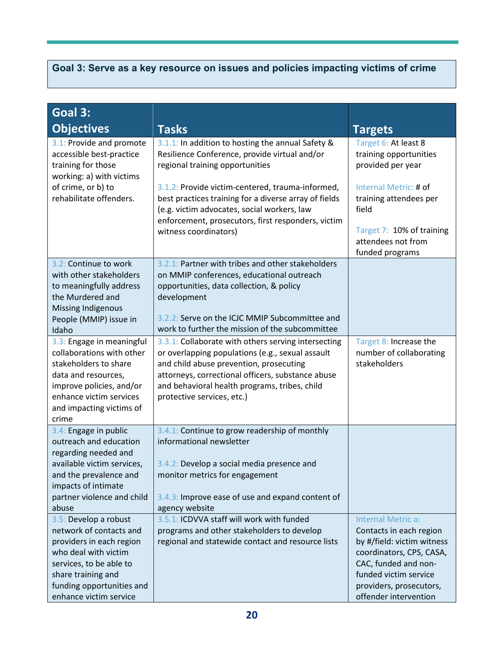## **Goal 3: Serve as a key resource on issues and policies impacting victims of crime**

| Goal 3:<br><b>Objectives</b>                                                                                                                                                                                 | <b>Tasks</b>                                                                                                                                                                                                                                                                                                                                                                     | <b>Targets</b>                                                                                                                                                                                               |
|--------------------------------------------------------------------------------------------------------------------------------------------------------------------------------------------------------------|----------------------------------------------------------------------------------------------------------------------------------------------------------------------------------------------------------------------------------------------------------------------------------------------------------------------------------------------------------------------------------|--------------------------------------------------------------------------------------------------------------------------------------------------------------------------------------------------------------|
| 3.1: Provide and promote<br>accessible best-practice<br>training for those<br>working: a) with victims<br>of crime, or b) to<br>rehabilitate offenders.                                                      | 3.1.1: In addition to hosting the annual Safety &<br>Resilience Conference, provide virtual and/or<br>regional training opportunities<br>3.1.2: Provide victim-centered, trauma-informed,<br>best practices training for a diverse array of fields<br>(e.g. victim advocates, social workers, law<br>enforcement, prosecutors, first responders, victim<br>witness coordinators) | Target 6: At least 8<br>training opportunities<br>provided per year<br>Internal Metric: # of<br>training attendees per<br>field<br>Target 7: 10% of training<br>attendees not from<br>funded programs        |
| 3.2: Continue to work<br>with other stakeholders<br>to meaningfully address<br>the Murdered and<br><b>Missing Indigenous</b><br>People (MMIP) issue in<br>Idaho                                              | 3.2.1: Partner with tribes and other stakeholders<br>on MMIP conferences, educational outreach<br>opportunities, data collection, & policy<br>development<br>3.2.2: Serve on the ICJC MMIP Subcommittee and<br>work to further the mission of the subcommittee                                                                                                                   |                                                                                                                                                                                                              |
| 3.3: Engage in meaningful<br>collaborations with other<br>stakeholders to share<br>data and resources,<br>improve policies, and/or<br>enhance victim services<br>and impacting victims of<br>crime           | 3.3.1: Collaborate with others serving intersecting<br>or overlapping populations (e.g., sexual assault<br>and child abuse prevention, prosecuting<br>attorneys, correctional officers, substance abuse<br>and behavioral health programs, tribes, child<br>protective services, etc.)                                                                                           | Target 8: Increase the<br>number of collaborating<br>stakeholders                                                                                                                                            |
| 3.4: Engage in public<br>outreach and education<br>regarding needed and<br>available victim services,<br>and the prevalence and<br>impacts of intimate<br>partner violence and child<br>abuse                | 3.4.1: Continue to grow readership of monthly<br>informational newsletter<br>3.4.2: Develop a social media presence and<br>monitor metrics for engagement<br>3.4.3: Improve ease of use and expand content of<br>agency website                                                                                                                                                  |                                                                                                                                                                                                              |
| 3.5: Develop a robust<br>network of contacts and<br>providers in each region<br>who deal with victim<br>services, to be able to<br>share training and<br>funding opportunities and<br>enhance victim service | 3.5.1: ICDVVA staff will work with funded<br>programs and other stakeholders to develop<br>regional and statewide contact and resource lists                                                                                                                                                                                                                                     | Internal Metric a:<br>Contacts in each region<br>by #/field: victim witness<br>coordinators, CPS, CASA,<br>CAC, funded and non-<br>funded victim service<br>providers, prosecutors,<br>offender intervention |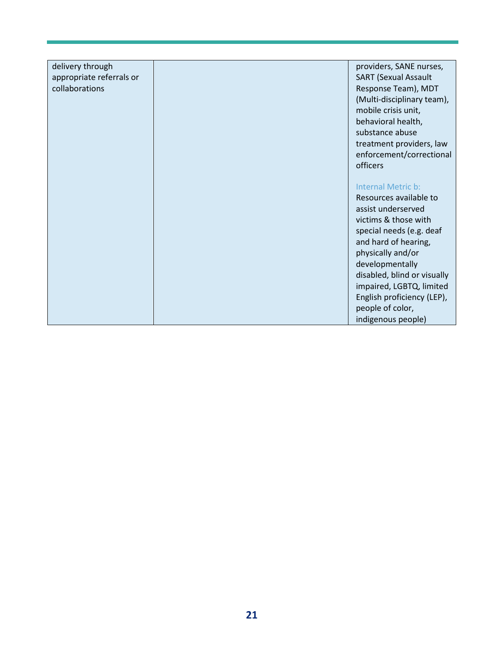| delivery through         | providers, SANE nurses,     |
|--------------------------|-----------------------------|
| appropriate referrals or | <b>SART (Sexual Assault</b> |
| collaborations           | Response Team), MDT         |
|                          | (Multi-disciplinary team),  |
|                          | mobile crisis unit,         |
|                          | behavioral health,          |
|                          | substance abuse             |
|                          | treatment providers, law    |
|                          | enforcement/correctional    |
|                          | officers                    |
|                          |                             |
|                          | Internal Metric b:          |
|                          | Resources available to      |
|                          | assist underserved          |
|                          | victims & those with        |
|                          | special needs (e.g. deaf    |
|                          | and hard of hearing,        |
|                          | physically and/or           |
|                          | developmentally             |
|                          | disabled, blind or visually |
|                          | impaired, LGBTQ, limited    |
|                          | English proficiency (LEP),  |
|                          | people of color,            |
|                          | indigenous people)          |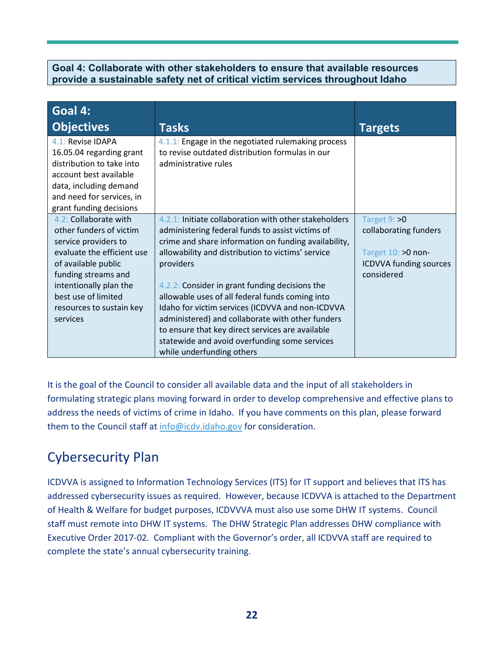#### **Goal 4: Collaborate with other stakeholders to ensure that available resources provide a sustainable safety net of critical victim services throughout Idaho**

| Goal 4:                                                                                                                                                                                |                                                                                                                               |                               |
|----------------------------------------------------------------------------------------------------------------------------------------------------------------------------------------|-------------------------------------------------------------------------------------------------------------------------------|-------------------------------|
| <b>Objectives</b>                                                                                                                                                                      | <b>Tasks</b>                                                                                                                  | <b>Targets</b>                |
| 4.1: Revise IDAPA<br>16.05.04 regarding grant<br>distribution to take into<br>account best available<br>data, including demand<br>and need for services, in<br>grant funding decisions | 4.1.1: Engage in the negotiated rulemaking process<br>to revise outdated distribution formulas in our<br>administrative rules |                               |
| 4.2: Collaborate with                                                                                                                                                                  | 4.2.1: Initiate collaboration with other stakeholders                                                                         | Target 9: >0                  |
| other funders of victim                                                                                                                                                                | administering federal funds to assist victims of                                                                              | collaborating funders         |
| service providers to                                                                                                                                                                   | crime and share information on funding availability,                                                                          |                               |
| evaluate the efficient use                                                                                                                                                             | allowability and distribution to victims' service                                                                             | Target 10: >0 non-            |
| of available public                                                                                                                                                                    | providers                                                                                                                     | <b>ICDVVA funding sources</b> |
| funding streams and                                                                                                                                                                    |                                                                                                                               | considered                    |
| intentionally plan the                                                                                                                                                                 | 4.2.2: Consider in grant funding decisions the                                                                                |                               |
| best use of limited                                                                                                                                                                    | allowable uses of all federal funds coming into                                                                               |                               |
| resources to sustain key                                                                                                                                                               | Idaho for victim services (ICDVVA and non-ICDVVA                                                                              |                               |
| services                                                                                                                                                                               | administered) and collaborate with other funders                                                                              |                               |
|                                                                                                                                                                                        | to ensure that key direct services are available                                                                              |                               |
|                                                                                                                                                                                        | statewide and avoid overfunding some services                                                                                 |                               |
|                                                                                                                                                                                        | while underfunding others                                                                                                     |                               |

It is the goal of the Council to consider all available data and the input of all stakeholders in formulating strategic plans moving forward in order to develop comprehensive and effective plans to address the needs of victims of crime in Idaho. If you have comments on this plan, please forward them to the Council staff at [info@icdv.idaho.gov](mailto:info@icdv.idaho.gov) for consideration.

## Cybersecurity Plan

ICDVVA is assigned to Information Technology Services (ITS) for IT support and believes that ITS has addressed cybersecurity issues as required. However, because ICDVVA is attached to the Department of Health & Welfare for budget purposes, ICDVVVA must also use some DHW IT systems. Council staff must remote into DHW IT systems. The DHW Strategic Plan addresses DHW compliance with Executive Order 2017-02. Compliant with the Governor's order, all ICDVVA staff are required to complete the state's annual cybersecurity training.